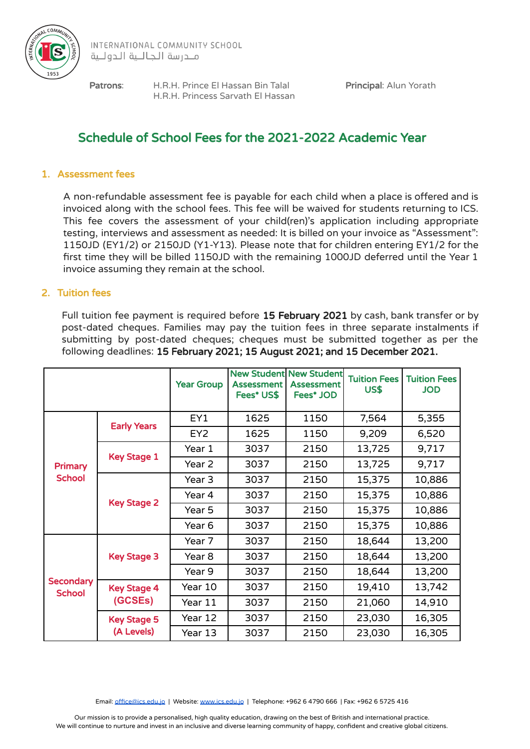

Patrons: H.R.H. Prince El Hassan Bin Talal Principal: Alun Yorath H.R.H. Princess Sarvath El Hassan

# Schedule of School Fees for the 2021-2022 Academic Year

## 1. Assessment fees

A non-refundable assessment fee is payable for each child when a place is offered and is invoiced along with the school fees. This fee will be waived for students returning to ICS. This fee covers the assessment of your child(ren)'s application including appropriate testing, interviews and assessment as needed: It is billed on your invoice as "Assessment": 1150JD (EY1/2) or 2150JD (Y1-Y13). Please note that for children entering EY1/2 for the first time they will be billed 1150JD with the remaining 1000JD deferred until the Year 1 invoice assuming they remain at the school.

## 2. Tuition fees

Full tuition fee payment is required before 15 February 2021 by cash, bank transfer or by post-dated cheques. Families may pay the tuition fees in three separate instalments if submitting by post-dated cheques; cheques must be submitted together as per the following deadlines: 15 February 2021; 15 August 2021; and 15 December 2021.

|                                   |                                  | <b>Year Group</b> | <b>Assessment</b><br>Fees* US\$ | <b>New Student New Student</b><br><b>Assessment</b><br>Fees* JOD | <b>Tuition Fees</b><br>US\$ | <b>Tuition Fees</b><br><b>JOD</b> |
|-----------------------------------|----------------------------------|-------------------|---------------------------------|------------------------------------------------------------------|-----------------------------|-----------------------------------|
| Primary<br><b>School</b>          | <b>Early Years</b>               | EY1               | 1625                            | 1150                                                             | 7,564                       | 5,355                             |
|                                   |                                  | EY <sub>2</sub>   | 1625                            | 1150                                                             | 9,209                       | 6,520                             |
|                                   | <b>Key Stage 1</b>               | Year 1            | 3037                            | 2150                                                             | 13,725                      | 9,717                             |
|                                   |                                  | Year 2            | 3037                            | 2150                                                             | 13,725                      | 9,717                             |
|                                   | <b>Key Stage 2</b>               | Year 3            | 3037                            | 2150                                                             | 15,375                      | 10,886                            |
|                                   |                                  | Year 4            | 3037                            | 2150                                                             | 15,375                      | 10,886                            |
|                                   |                                  | Year 5            | 3037                            | 2150                                                             | 15,375                      | 10,886                            |
|                                   |                                  | Year 6            | 3037                            | 2150                                                             | 15,375                      | 10,886                            |
| <b>Secondary</b><br><b>School</b> | <b>Key Stage 3</b>               | Year 7            | 3037                            | 2150                                                             | 18,644                      | 13,200                            |
|                                   |                                  | Year 8            | 3037                            | 2150                                                             | 18,644                      | 13,200                            |
|                                   |                                  | Year 9            | 3037                            | 2150                                                             | 18,644                      | 13,200                            |
|                                   | <b>Key Stage 4</b><br>(GCSEs)    | Year 10           | 3037                            | 2150                                                             | 19,410                      | 13,742                            |
|                                   |                                  | Year 11           | 3037                            | 2150                                                             | 21,060                      | 14,910                            |
|                                   | <b>Key Stage 5</b><br>(A Levels) | Year 12           | 3037                            | 2150                                                             | 23,030                      | 16,305                            |
|                                   |                                  | Year 13           | 3037                            | 2150                                                             | 23,030                      | 16,305                            |

Email: [office@ics.edu.jo](mailto:office@ics.edu.jo) | Website: [www.ics.edu.jo](http://www.ics.edu.jo) | Telephone: +962 6 4790 666 | Fax: +962 6 5725 416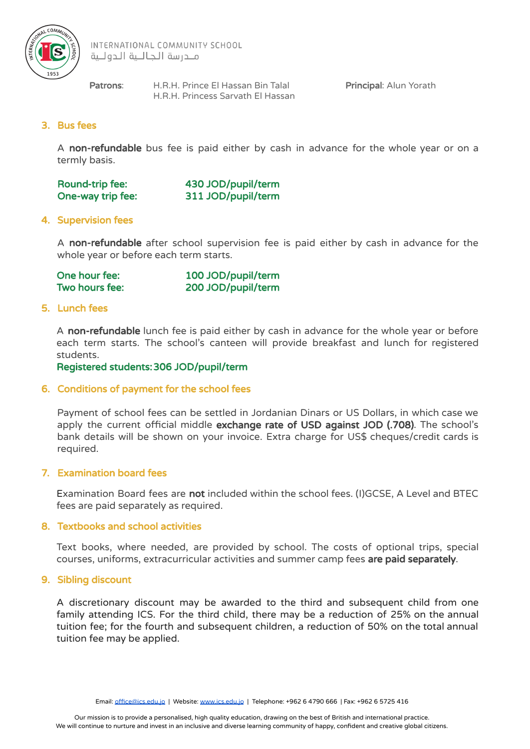

INTERNATIONAL COMMUNITY SCHOOL ملدرسة الجاللية الدوللية

Patrons: H.R.H. Prince El Hassan Bin Talal Principal: Alun Yorath H.R.H. Princess Sarvath El Hassan

# 3. Bus fees

A non-refundable bus fee is paid either by cash in advance for the whole year or on a termly basis.

| Round-trip fee:   | 430 JOD/pupil/term |
|-------------------|--------------------|
| One-way trip fee: | 311 JOD/pupil/term |

## 4. Supervision fees

A non-refundable after school supervision fee is paid either by cash in advance for the whole year or before each term starts.

| One hour fee:  | 100 JOD/pupil/term |
|----------------|--------------------|
| Two hours fee: | 200 JOD/pupil/term |

#### 5. Lunch fees

A non-refundable lunch fee is paid either by cash in advance for the whole year or before each term starts. The school's canteen will provide breakfast and lunch for registered students.

Registered students:306 JOD/pupil/term

#### 6. Conditions of payment for the school fees

Payment of school fees can be settled in Jordanian Dinars or US Dollars, in which case we apply the current official middle exchange rate of USD against JOD (.708). The school's bank details will be shown on your invoice. Extra charge for US\$ cheques/credit cards is required.

#### 7. Examination board fees

Examination Board fees are not included within the school fees. (I)GCSE, A Level and BTEC fees are paid separately as required.

#### 8. Textbooks and school activities

Text books, where needed, are provided by school. The costs of optional trips, special courses, uniforms, extracurricular activities and summer camp fees are paid separately.

#### 9. Sibling discount

A discretionary discount may be awarded to the third and subsequent child from one family attending ICS. For the third child, there may be a reduction of 25% on the annual tuition fee; for the fourth and subsequent children, a reduction of 50% on the total annual tuition fee may be applied.

Email: [office@ics.edu.jo](mailto:office@ics.edu.jo) | Website: [www.ics.edu.jo](http://www.ics.edu.jo) | Telephone: +962 6 4790 666 | Fax: +962 6 5725 416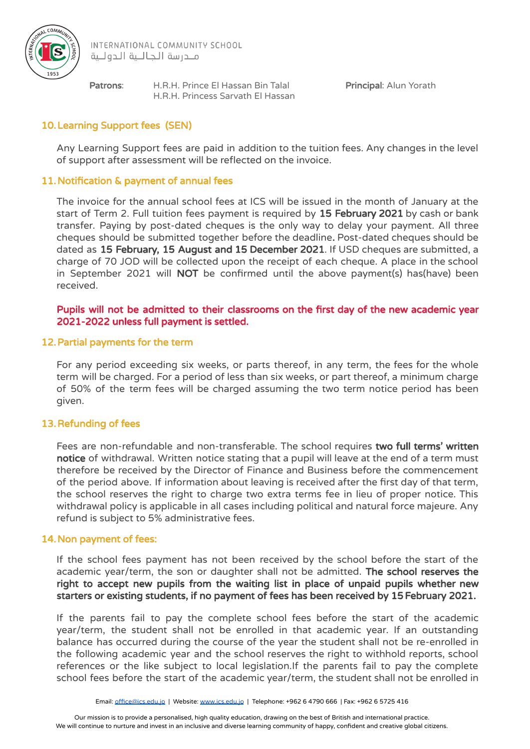

INTERNATIONAL COMMUNITY SCHOOL ملدرسة الجاللية الدوللية

Patrons: H.R.H. Prince El Hassan Bin Talal Principal: Alun Yorath H.R.H. Princess Sarvath El Hassan

# 10.Learning Support fees (SEN)

Any Learning Support fees are paid in addition to the tuition fees. Any changes in the level of support after assessment will be reflected on the invoice.

# 11.Notification & payment of annual fees

The invoice for the annual school fees at ICS will be issued in the month of January at the start of Term 2. Full tuition fees payment is required by 15 February 2021 by cash or bank transfer. Paying by post-dated cheques is the only way to delay your payment. All three cheques should be submitted together before the deadline. Post-dated cheques should be dated as 15 February, 15 August and 15 December 2021. If USD cheques are submitted, a charge of 70 JOD will be collected upon the receipt of each cheque. A place in the school in September 2021 will NOT be confirmed until the above payment(s) has(have) been received.

## Pupils will not be admitted to their classrooms on the first day of the new academic year 2021-2022 unless full payment is settled.

## 12.Partial payments for the term

For any period exceeding six weeks, or parts thereof, in any term, the fees for the whole term will be charged. For a period of less than six weeks, or part thereof, a minimum charge of 50% of the term fees will be charged assuming the two term notice period has been given.

# 13.Refunding of fees

Fees are non-refundable and non-transferable. The school requires two full terms' written notice of withdrawal. Written notice stating that a pupil will leave at the end of a term must therefore be received by the Director of Finance and Business before the commencement of the period above. If information about leaving is received after the first day of that term, the school reserves the right to charge two extra terms fee in lieu of proper notice. This withdrawal policy is applicable in all cases including political and natural force majeure. Any refund is subject to 5% administrative fees.

#### 14.Non payment of fees:

If the school fees payment has not been received by the school before the start of the academic year/term, the son or daughter shall not be admitted. The school reserves the right to accept new pupils from the waiting list in place of unpaid pupils whether new starters or existing students, if no payment of fees has been received by 15 February 2021.

If the parents fail to pay the complete school fees before the start of the academic year/term, the student shall not be enrolled in that academic year. If an outstanding balance has occurred during the course of the year the student shall not be re-enrolled in the following academic year and the school reserves the right to withhold reports, school references or the like subject to local legislation.If the parents fail to pay the complete school fees before the start of the academic year/term, the student shall not be enrolled in